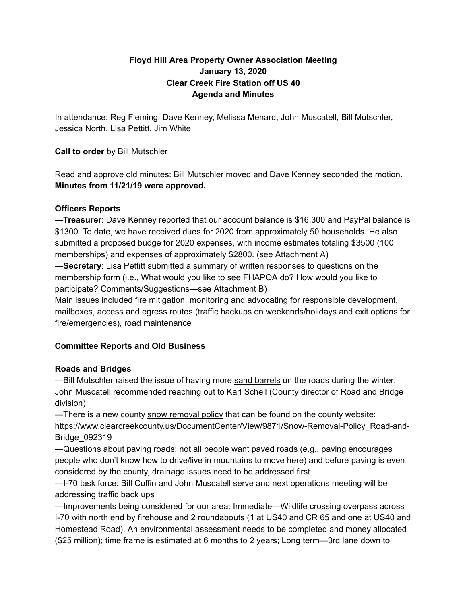### **Floyd Hill Area Property Owner Association Meeting January 13, 2020 Clear Creek Fire Station off US 40 Agenda and Minutes**

In attendance: Reg Fleming, Dave Kenney, Melissa Menard, John Muscatell, Bill Mutschler, Jessica North, Lisa Pettitt, Jim White

### **Call to order** by Bill Mutschler

Read and approve old minutes: Bill Mutschler moved and Dave Kenney seconded the motion. **Minutes from 11/21/19 were approved.**

### **Officers Reports**

**—Treasurer**: Dave Kenney reported that our account balance is \$16,300 and PayPal balance is \$1300. To date, we have received dues for 2020 from approximately 50 households. He also submitted a proposed budge for 2020 expenses, with income estimates totaling \$3500 (100 memberships) and expenses of approximately \$2800. (see Attachment A)

**—Secretary**: Lisa Pettitt submitted a summary of written responses to questions on the membership form (i.e., What would you like to see FHAPOA do? How would you like to participate? Comments/Suggestions—see Attachment B)

Main issues included fire mitigation, monitoring and advocating for responsible development, mailboxes, access and egress routes (traffic backups on weekends/holidays and exit options for fire/emergencies), road maintenance

# **Committee Reports and Old Business**

### **Roads and Bridges**

—Bill Mutschler raised the issue of having more sand barrels on the roads during the winter; John Muscatell recommended reaching out to Karl Schell (County director of Road and Bridge division)

—There is a new county snow removal policy that can be found on the county website: https://www.clearcreekcounty.us/DocumentCenter/View/9871/Snow-Removal-Policy\_Road-and-Bridge\_092319

—Questions about paving roads: not all people want paved roads (e.g., paving encourages people who don't know how to drive/live in mountains to move here) and before paving is even considered by the county, drainage issues need to be addressed first

—I-70 task force: Bill Coffin and John Muscatell serve and next operations meeting will be addressing traffic back ups

—Improvements being considered for our area: Immediate—Wildlife crossing overpass across I-70 with north end by firehouse and 2 roundabouts (1 at US40 and CR 65 and one at US40 and Homestead Road). An environmental assessment needs to be completed and money allocated (\$25 million); time frame is estimated at 6 months to 2 years; Long term—3rd lane down to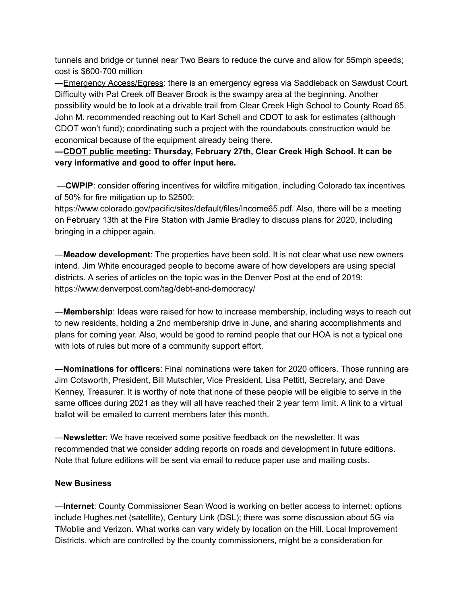tunnels and bridge or tunnel near Two Bears to reduce the curve and allow for 55mph speeds; cost is \$600-700 million

—Emergency Access/Egress: there is an emergency egress via Saddleback on Sawdust Court. Difficulty with Pat Creek off Beaver Brook is the swampy area at the beginning. Another possibility would be to look at a drivable trail from Clear Creek High School to County Road 65. John M. recommended reaching out to Karl Schell and CDOT to ask for estimates (although CDOT won't fund); coordinating such a project with the roundabouts construction would be economical because of the equipment already being there.

# **—CDOT public meeting: Thursday, February 27th, Clear Creek High School. It can be very informative and good to offer input here.**

—**CWPIP**: consider offering incentives for wildfire mitigation, including Colorado tax incentives of 50% for fire mitigation up to \$2500:

https://www.colorado.gov/pacific/sites/default/files/Income65.pdf. Also, there will be a meeting on February 13th at the Fire Station with Jamie Bradley to discuss plans for 2020, including bringing in a chipper again.

—**Meadow development**: The properties have been sold. It is not clear what use new owners intend. Jim White encouraged people to become aware of how developers are using special districts. A series of articles on the topic was in the Denver Post at the end of 2019: https://www.denverpost.com/tag/debt-and-democracy/

—**Membership**: Ideas were raised for how to increase membership, including ways to reach out to new residents, holding a 2nd membership drive in June, and sharing accomplishments and plans for coming year. Also, would be good to remind people that our HOA is not a typical one with lots of rules but more of a community support effort.

—**Nominations for officers**: Final nominations were taken for 2020 officers. Those running are Jim Cotsworth, President, Bill Mutschler, Vice President, Lisa Pettitt, Secretary, and Dave Kenney, Treasurer. It is worthy of note that none of these people will be eligible to serve in the same offices during 2021 as they will all have reached their 2 year term limit. A link to a virtual ballot will be emailed to current members later this month.

—**Newsletter**: We have received some positive feedback on the newsletter. It was recommended that we consider adding reports on roads and development in future editions. Note that future editions will be sent via email to reduce paper use and mailing costs.

#### **New Business**

—**Internet**: County Commissioner Sean Wood is working on better access to internet: options include Hughes.net (satellite), Century Link (DSL); there was some discussion about 5G via TMoblie and Verizon. What works can vary widely by location on the Hill. Local Improvement Districts, which are controlled by the county commissioners, might be a consideration for